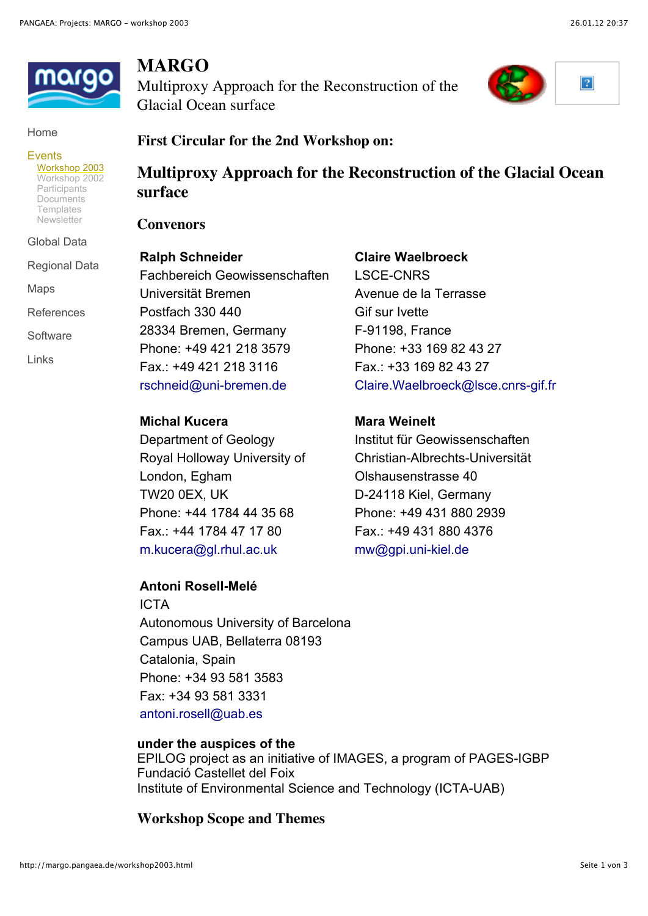

#### Home

Events

Workshop 2003 Workshop 2002 **Participants** Documents Templates Newsletter

Global Data

Regional Data

Maps

References

**Software** 

Links

# **MARGO**

Multiproxy Approach for the Reconstruction of the Glacial Ocean surface



### **First Circular for the 2nd Workshop on:**

**Multiproxy Approach for the Reconstruction of the Glacial Ocean surface**

**Convenors**

## **Ralph Schneider Claire Waelbroeck**

Fachbereich Geowissenschaften LSCE-CNRS Universität Bremen auch auch auch Avenue de la Terrasse Postfach 330 440 Gif sur Ivette 28334 Bremen, Germany F-91198, France Phone: +49 421 218 3579 Phone: +33 169 82 43 27 Fax.: +49 421 218 3116 Fax.: +33 169 82 43 27

#### **Michal Kucera Mara Weinelt**

London, Egham **Olshausenstrasse 40** TW20 0EX, UK D-24118 Kiel, Germany Phone: +44 1784 44 35 68 Phone: +49 431 880 2939 Fax.: +44 1784 47 17 80 Fax.: +49 431 880 4376 m.kucera@gl.rhul.ac.uk mw@gpi.uni-kiel.de

### **Antoni Rosell-Melé**

ICTA Autonomous University of Barcelona Campus UAB, Bellaterra 08193 Catalonia, Spain Phone: +34 93 581 3583 Fax: +34 93 581 3331 antoni.rosell@uab.es

#### **under the auspices of the**

EPILOG project as an initiative of IMAGES, a program of PAGES-IGBP Fundació Castellet del Foix Institute of Environmental Science and Technology (ICTA-UAB)

### **Workshop Scope and Themes**

#### http://margo.pangaea.de/workshop2003.html Seite 1 von 3

rschneid@uni-bremen.de Claire.Waelbroeck@lsce.cnrs-gif.fr

Department of Geology Institut für Geowissenschaften Royal Holloway University of Christian-Albrechts-Universität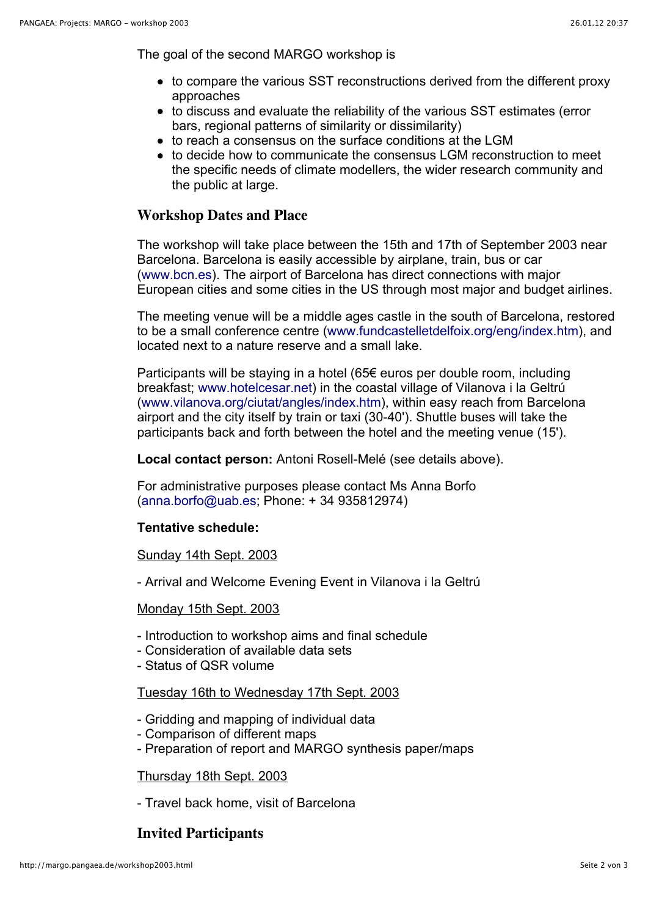The goal of the second MARGO workshop is

- to compare the various SST reconstructions derived from the different proxy approaches
- to discuss and evaluate the reliability of the various SST estimates (error bars, regional patterns of similarity or dissimilarity)
- to reach a consensus on the surface conditions at the LGM
- to decide how to communicate the consensus LGM reconstruction to meet the specific needs of climate modellers, the wider research community and the public at large.

#### **Workshop Dates and Place**

The workshop will take place between the 15th and 17th of September 2003 near Barcelona. Barcelona is easily accessible by airplane, train, bus or car (www.bcn.es). The airport of Barcelona has direct connections with major European cities and some cities in the US through most major and budget airlines.

The meeting venue will be a middle ages castle in the south of Barcelona, restored to be a small conference centre (www.fundcastelletdelfoix.org/eng/index.htm), and located next to a nature reserve and a small lake.

Participants will be staying in a hotel (65 $\epsilon$  euros per double room, including breakfast; www.hotelcesar.net) in the coastal village of Vilanova i la Geltrú (www.vilanova.org/ciutat/angles/index.htm), within easy reach from Barcelona airport and the city itself by train or taxi (30-40'). Shuttle buses will take the participants back and forth between the hotel and the meeting venue (15').

**Local contact person:** Antoni Rosell-Melé (see details above).

For administrative purposes please contact Ms Anna Borfo (anna.borfo@uab.es; Phone: + 34 935812974)

#### **Tentative schedule:**

Sunday 14th Sept. 2003

- Arrival and Welcome Evening Event in Vilanova i la Geltrú

#### Monday 15th Sept. 2003

- Introduction to workshop aims and final schedule
- Consideration of available data sets
- Status of QSR volume

#### Tuesday 16th to Wednesday 17th Sept. 2003

- Gridding and mapping of individual data
- Comparison of different maps
- Preparation of report and MARGO synthesis paper/maps

#### Thursday 18th Sept. 2003

- Travel back home, visit of Barcelona

#### **Invited Participants**